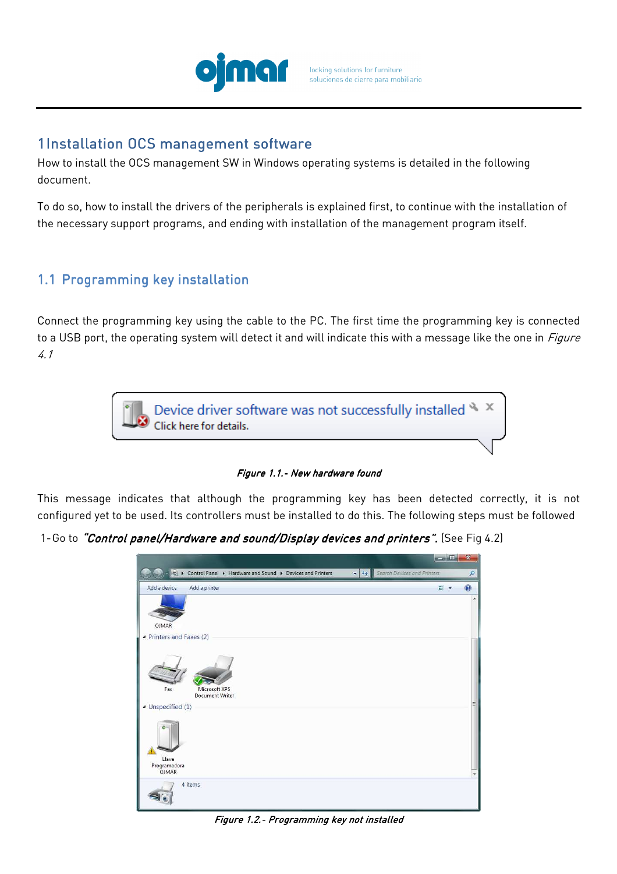

## 1Installation OCS management software

How to install the OCS management SW in Windows operating systems is detailed in the following document.

To do so, how to install the drivers of the peripherals is explained first, to continue with the installation of the necessary support programs, and ending with installation of the management program itself.

# 1.1 Programming key installation

Connect the programming key using the cable to the PC. The first time the programming key is connected to a USB port, the operating system will detect it and will indicate this with a message like the one in *Figure* 4.1



Figure 1.1.- New hardware found

This message indicates that although the programming key has been detected correctly, it is not configured yet to be used. Its controllers must be installed to do this. The following steps must be followed

1-Go to "Control panel/Hardware and sound/Display devices and printers". (See Fig 4.2)

|                                |                                                                |                         |                             | acard in       | $\overline{\mathbf{x}}$ |
|--------------------------------|----------------------------------------------------------------|-------------------------|-----------------------------|----------------|-------------------------|
|                                | es ▶ Control Panel ▶ Hardware and Sound ▶ Devices and Printers | $\bullet$ $\frac{1}{2}$ | Search Devices and Printers |                | ٩                       |
| Add a device                   | Add a printer                                                  |                         |                             | $\blacksquare$ | $\overline{Q}$          |
| OJMAR                          |                                                                |                         |                             |                | ×                       |
| ▲ Printers and Faxes (2)       |                                                                |                         |                             |                |                         |
| Fax<br>· Unspecified (1)       | Microsoft XPS<br><b>Document Writer</b>                        |                         |                             |                | 国                       |
| Llave<br>Programadora<br>OJMAR |                                                                |                         |                             |                | ÷                       |
|                                | 4 items                                                        |                         |                             |                |                         |

Figure 1.2.- Programming key not installed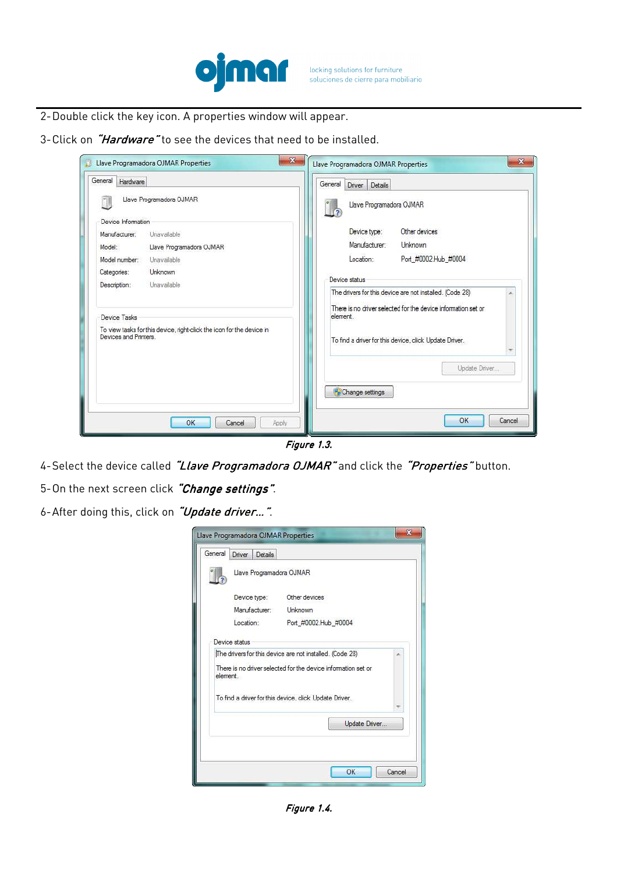

- 2-Double click the key icon. A properties window will appear.
- 3-Click on "Hardware" to see the devices that need to be installed.

| General<br>Hardware                                                                                                                          | General<br>Details<br><b>Driver</b>                                                                                                                                                            |
|----------------------------------------------------------------------------------------------------------------------------------------------|------------------------------------------------------------------------------------------------------------------------------------------------------------------------------------------------|
| Llave Programadora OJMAR<br>Device Information<br>Unavailable<br>Manufacturer:                                                               | Llave Programadora OJMAR<br>Other devices<br>Device type:                                                                                                                                      |
| Model:<br>Llave Programadora OJMAR                                                                                                           | Manufacturer<br>Unknown                                                                                                                                                                        |
| Model number:<br>Unavailable                                                                                                                 | Port #0002.Hub #0004<br>Location:                                                                                                                                                              |
| Categories:<br>Unknown                                                                                                                       | Device status                                                                                                                                                                                  |
| Description:<br>Unavailable<br>Device Tasks<br>To view tasks for this device, right-click the icon for the device in<br>Devices and Printers | The drivers for this device are not installed. (Code 28)<br>There is no driver selected for the device information set or<br>element<br>To find a driver for this device, click Update Driver. |
|                                                                                                                                              | Update Driver<br>Change settings                                                                                                                                                               |
| OK<br>Cancel<br>Apply                                                                                                                        | OK<br>Cancel                                                                                                                                                                                   |

Figure 1.3.

4-Select the device called "Llave Programadora OJMAR" and click the "Properties" button.

5-On the next screen click "Change settings".

6-After doing this, click on "Update driver...".

| General  | Driver Details           |                                                        |  |
|----------|--------------------------|--------------------------------------------------------|--|
|          | Llave Programadora OJMAR |                                                        |  |
|          | Device type:             | Other devices                                          |  |
|          | Manufacturer: Unknown    |                                                        |  |
|          | Location:                | Port_#0002.Hub_#0004                                   |  |
| element. |                          | To find a driver for this device, click Update Driver. |  |
|          |                          |                                                        |  |

Figure 1.4.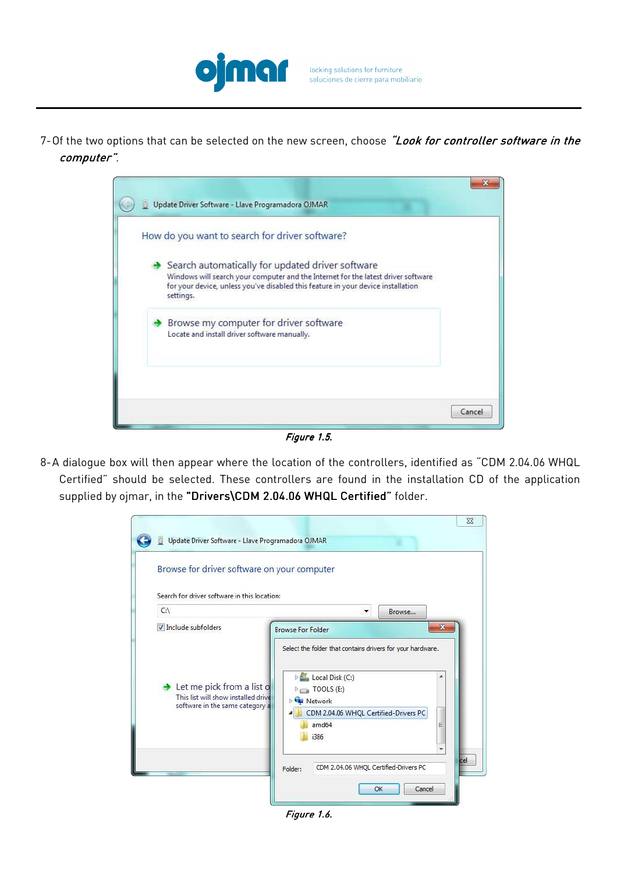

7-Of the two options that can be selected on the new screen, choose "Look for controller software in the computer".



Figure 1.5.

8-A dialogue box will then appear where the location of the controllers, identified as "CDM 2.04.06 WHQL Certified" should be selected. These controllers are found in the installation CD of the application supplied by ojmar, in the "Drivers\CDM 2.04.06 WHQL Certified" folder.



Figure 1.6.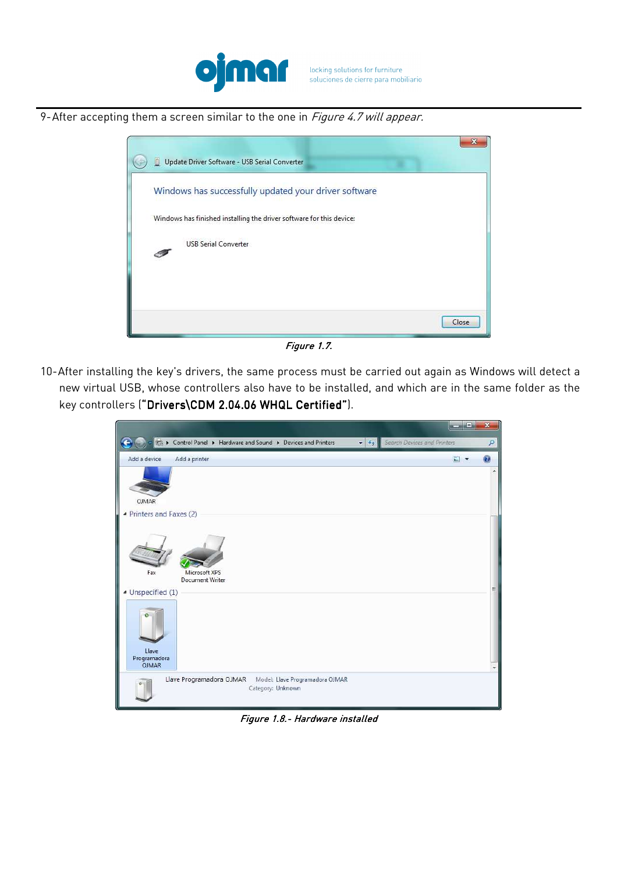

9-After accepting them a screen similar to the one in Figure 4.7 will appear.



Figure 1.7.

10-After installing the key's drivers, the same process must be carried out again as Windows will detect a new virtual USB, whose controllers also have to be installed, and which are in the same folder as the key controllers ("Drivers\CDM 2.04.06 WHQL Certified").

|                                                                 |                                                                                                           | $\Box$ e     | ×                       |                               |
|-----------------------------------------------------------------|-----------------------------------------------------------------------------------------------------------|--------------|-------------------------|-------------------------------|
|                                                                 | Control Panel ▶ Hardware and Sound ▶ Devices and Printers<br>Search Devices and Printers<br>$\frac{1}{2}$ |              | ٩                       |                               |
| Add a device                                                    | Add a printer                                                                                             | $\mathbf{r}$ | $\overline{\mathbf{2}}$ |                               |
| <b>OJMAR</b>                                                    |                                                                                                           |              |                         | ×                             |
| ▲ Printers and Faxes (2)                                        |                                                                                                           |              |                         |                               |
| Fax                                                             | Microsoft XPS<br>Document Writer                                                                          |              |                         |                               |
| 4 Unspecified (1)<br>o<br>Llave<br>Programadora<br><b>OJMAR</b> |                                                                                                           |              |                         | 듸<br>$\overline{\phantom{0}}$ |
| $\mathbf{O}$                                                    | Llave Programadora OJMAR<br>Model: Llave Programadora OJMAR<br>Category: Unknown                          |              |                         |                               |

Figure 1.8.- Hardware installed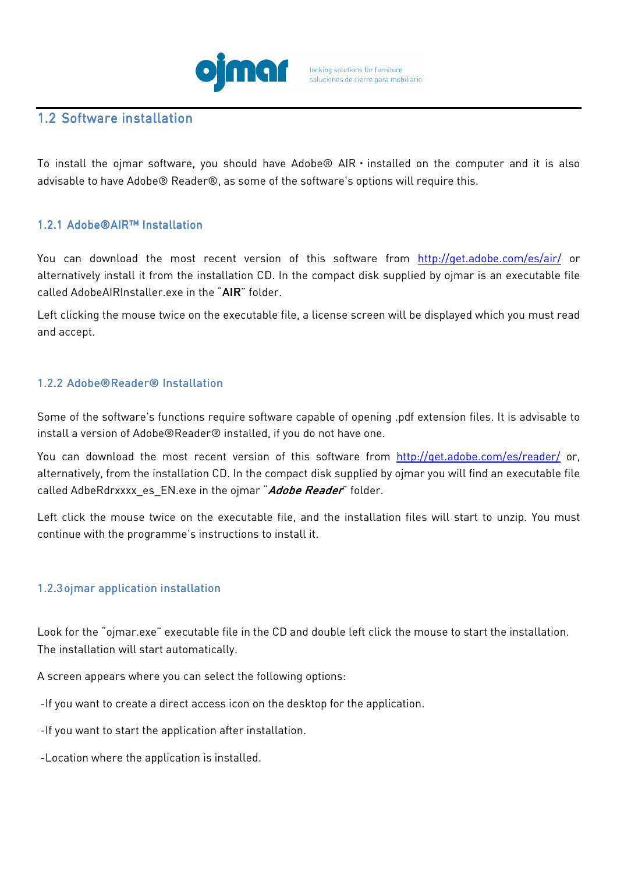

### 1.2 Software installation

To install the ojmar software, you should have Adobe<sup>®</sup> AIR  $\cdot$  installed on the computer and it is also advisable to have Adobe® Reader®, as some of the software's options will require this.

#### 1.2.1 Adobe®AIR™ Installation

You can download the most recent version of this software from http://get.adobe.com/es/air/ or alternatively install it from the installation CD. In the compact disk supplied by ojmar is an executable file called AdobeAIRInstaller.exe in the "AIR" folder.

Left clicking the mouse twice on the executable file, a license screen will be displayed which you must read and accept.

#### 1.2.2 Adobe®Reader® Installation

Some of the software's functions require software capable of opening .pdf extension files. It is advisable to install a version of Adobe®Reader® installed, if you do not have one.

You can download the most recent version of this software from http://get.adobe.com/es/reader/ or, alternatively, from the installation CD. In the compact disk supplied by ojmar you will find an executable file called AdbeRdrxxxx es EN.exe in the ojmar "Adobe Reader" folder.

Left click the mouse twice on the executable file, and the installation files will start to unzip. You must continue with the programme's instructions to install it.

#### 1.2.3 oimar application installation

Look for the "ojmar.exe" executable file in the CD and double left click the mouse to start the installation. The installation will start automatically.

A screen appears where you can select the following options:

-If you want to create a direct access icon on the desktop for the application.

-If you want to start the application after installation.

-Location where the application is installed.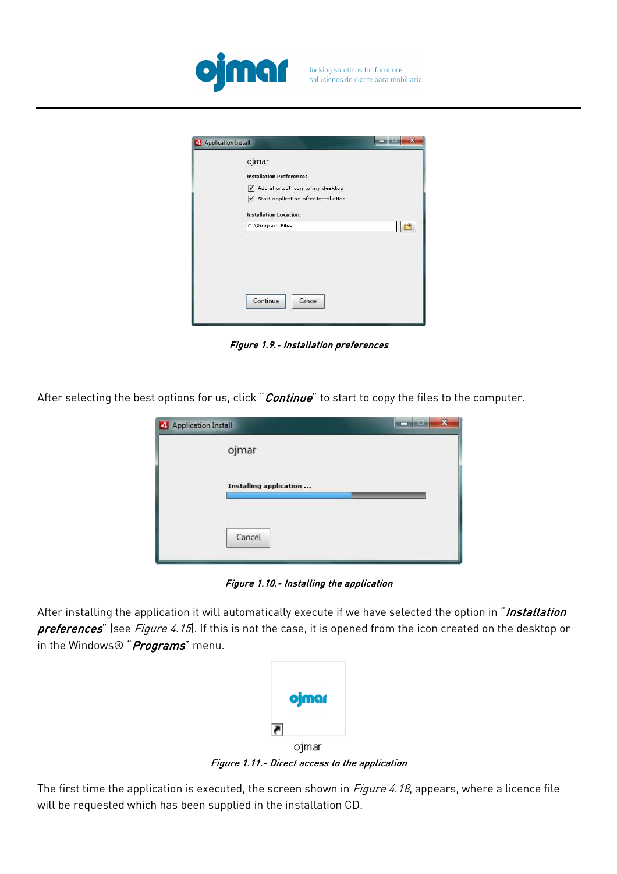

| Application Install | $\mathbf{x}$<br>$ n + 2$                     |
|---------------------|----------------------------------------------|
|                     | ojmar                                        |
|                     | <b>Installation Preferences</b>              |
|                     | Add shortcut icon to my desktop<br>$\sqrt{}$ |
|                     | Start application after installation         |
|                     | <b>Installation Location:</b>                |
|                     | C:\Program Files                             |
|                     | Cancel<br>Continue                           |

Figure 1.9.- Installation preferences

After selecting the best options for us, click "Continue" to start to copy the files to the computer.

| Application Install    | $\boldsymbol{\mathsf{x}}$ |
|------------------------|---------------------------|
| ojmar                  |                           |
| Installing application |                           |
| Cancel                 |                           |

Figure 1.10.- Installing the application

After installing the application it will automatically execute if we have selected the option in "Installation preferences" (see Figure 4.15). If this is not the case, it is opened from the icon created on the desktop or in the Windows® "Programs" menu.

| ojmar |  |
|-------|--|
|       |  |
| oimar |  |

Figure 1.11.- Direct access to the application

The first time the application is executed, the screen shown in *Figure 4.18*, appears, where a licence file will be requested which has been supplied in the installation CD.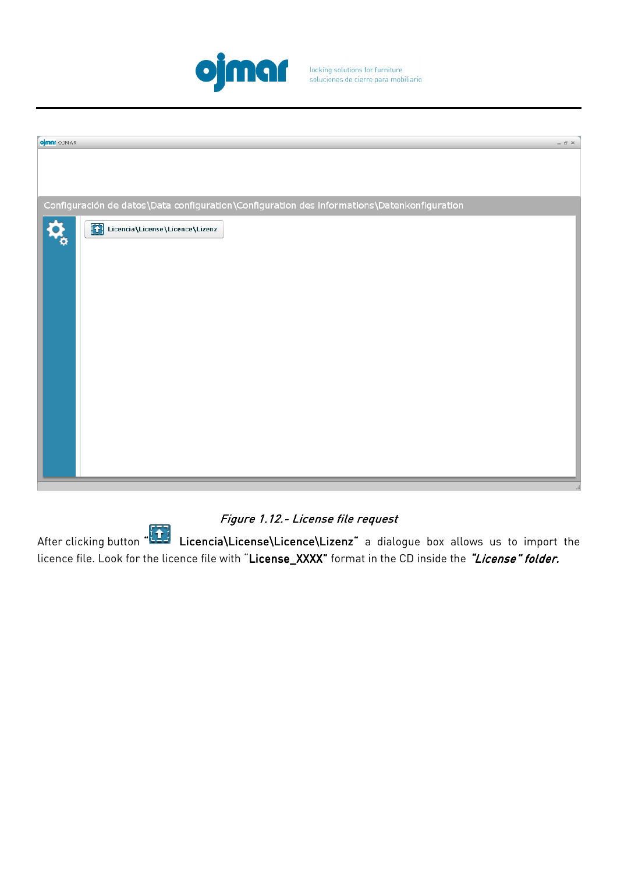

locking solutions for furniture<br>soluciones de cierre para mobiliario

| ojmar OJMAR                                                                                 | $ \theta$ $\times$ |
|---------------------------------------------------------------------------------------------|--------------------|
|                                                                                             |                    |
|                                                                                             |                    |
|                                                                                             |                    |
|                                                                                             |                    |
|                                                                                             |                    |
| Configuración de datos\Data configuration\Configuration des informations\Datenkonfiguration |                    |
| Licencia\License\Licence\Lizenz                                                             |                    |
|                                                                                             |                    |
|                                                                                             |                    |
|                                                                                             |                    |
|                                                                                             |                    |
|                                                                                             |                    |
|                                                                                             |                    |
|                                                                                             |                    |
|                                                                                             |                    |
|                                                                                             |                    |
|                                                                                             |                    |
|                                                                                             |                    |
|                                                                                             |                    |

# Figure 1.12.- License file request

After clicking button " Licencia\License\Licence\Lizenz" a dialogue box allows us to import the licence file. Look for the licence file with "License\_XXXX" format in the CD inside the *"License" folder.*